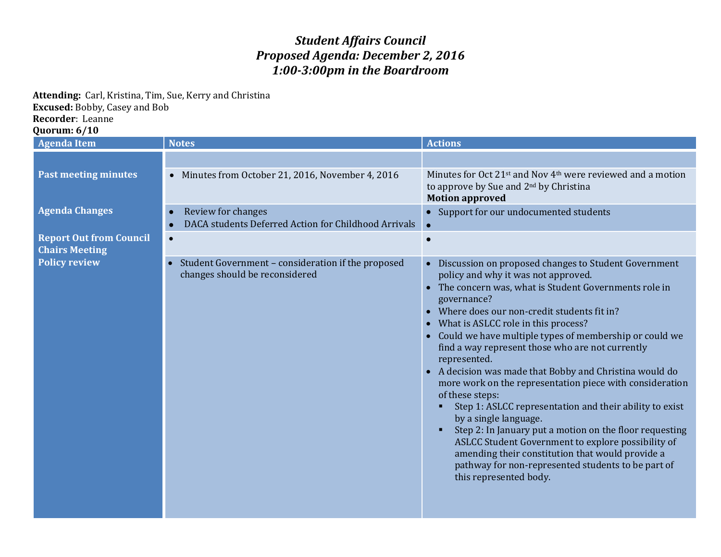## *Student Affairs Council Proposed Agenda: December 2, 2016 1:00-3:00pm in the Boardroom*

**Attending:** Carl, Kristina, Tim, Sue, Kerry and Christina

**Excused:** Bobby, Casey and Bob

**Recorder**: Leanne

**Quorum: 6/10**

| <b>Agenda Item</b>                                      | <b>Notes</b>                                                                         | <b>Actions</b>                                                                                                                                                                                                                                                                                                                                                                                                                                                                                                                                                                                                                                                                                                                                                                                                                                                                          |
|---------------------------------------------------------|--------------------------------------------------------------------------------------|-----------------------------------------------------------------------------------------------------------------------------------------------------------------------------------------------------------------------------------------------------------------------------------------------------------------------------------------------------------------------------------------------------------------------------------------------------------------------------------------------------------------------------------------------------------------------------------------------------------------------------------------------------------------------------------------------------------------------------------------------------------------------------------------------------------------------------------------------------------------------------------------|
| <b>Past meeting minutes</b>                             | • Minutes from October 21, 2016, November 4, 2016                                    | Minutes for Oct 21 <sup>st</sup> and Nov 4 <sup>th</sup> were reviewed and a motion<br>to approve by Sue and 2 <sup>nd</sup> by Christina<br><b>Motion approved</b>                                                                                                                                                                                                                                                                                                                                                                                                                                                                                                                                                                                                                                                                                                                     |
| <b>Agenda Changes</b>                                   | Review for changes<br>DACA students Deferred Action for Childhood Arrivals           | • Support for our undocumented students                                                                                                                                                                                                                                                                                                                                                                                                                                                                                                                                                                                                                                                                                                                                                                                                                                                 |
| <b>Report Out from Council</b><br><b>Chairs Meeting</b> | $\bullet$                                                                            |                                                                                                                                                                                                                                                                                                                                                                                                                                                                                                                                                                                                                                                                                                                                                                                                                                                                                         |
| <b>Policy review</b>                                    | Student Government - consideration if the proposed<br>changes should be reconsidered | • Discussion on proposed changes to Student Government<br>policy and why it was not approved.<br>• The concern was, what is Student Governments role in<br>governance?<br>Where does our non-credit students fit in?<br>What is ASLCC role in this process?<br>Could we have multiple types of membership or could we<br>find a way represent those who are not currently<br>represented.<br>A decision was made that Bobby and Christina would do<br>$\bullet$<br>more work on the representation piece with consideration<br>of these steps:<br>Step 1: ASLCC representation and their ability to exist<br>by a single language.<br>Step 2: In January put a motion on the floor requesting<br>ASLCC Student Government to explore possibility of<br>amending their constitution that would provide a<br>pathway for non-represented students to be part of<br>this represented body. |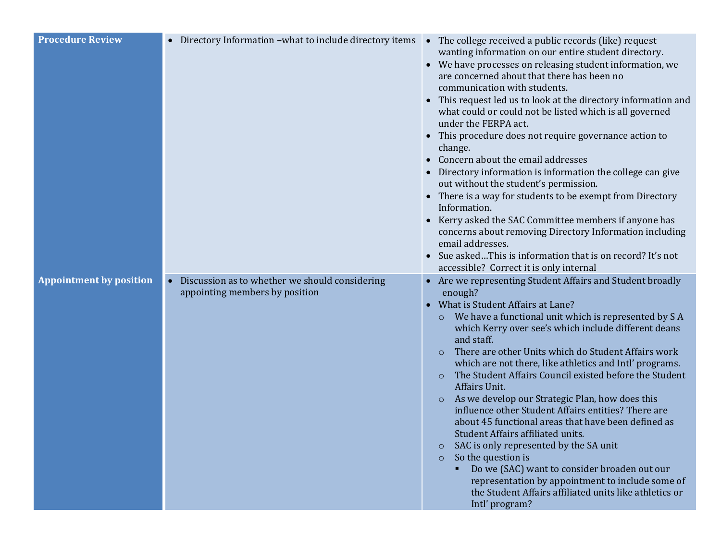| <b>Procedure Review</b>        | Directory Information - what to include directory items<br>$\bullet$                          | • The college received a public records (like) request<br>wanting information on our entire student directory.<br>• We have processes on releasing student information, we<br>are concerned about that there has been no<br>communication with students.<br>This request led us to look at the directory information and<br>what could or could not be listed which is all governed<br>under the FERPA act.<br>This procedure does not require governance action to<br>$\bullet$<br>change.<br>Concern about the email addresses<br>Directory information is information the college can give<br>out without the student's permission.<br>• There is a way for students to be exempt from Directory<br>Information.<br>Kerry asked the SAC Committee members if anyone has<br>concerns about removing Directory Information including<br>email addresses.<br>Sue askedThis is information that is on record? It's not<br>$\bullet$                                                                                |
|--------------------------------|-----------------------------------------------------------------------------------------------|-------------------------------------------------------------------------------------------------------------------------------------------------------------------------------------------------------------------------------------------------------------------------------------------------------------------------------------------------------------------------------------------------------------------------------------------------------------------------------------------------------------------------------------------------------------------------------------------------------------------------------------------------------------------------------------------------------------------------------------------------------------------------------------------------------------------------------------------------------------------------------------------------------------------------------------------------------------------------------------------------------------------|
| <b>Appointment by position</b> | Discussion as to whether we should considering<br>$\bullet$<br>appointing members by position | accessible? Correct it is only internal<br>Are we representing Student Affairs and Student broadly<br>enough?<br>What is Student Affairs at Lane?<br>$\bullet$<br>We have a functional unit which is represented by SA<br>$\circ$<br>which Kerry over see's which include different deans<br>and staff.<br>There are other Units which do Student Affairs work<br>$\circ$<br>which are not there, like athletics and Intl' programs.<br>The Student Affairs Council existed before the Student<br>$\circ$<br>Affairs Unit.<br>As we develop our Strategic Plan, how does this<br>$\circ$<br>influence other Student Affairs entities? There are<br>about 45 functional areas that have been defined as<br>Student Affairs affiliated units.<br>SAC is only represented by the SA unit<br>$\circ$<br>So the question is<br>$\circ$<br>Do we (SAC) want to consider broaden out our<br>representation by appointment to include some of<br>the Student Affairs affiliated units like athletics or<br>Intl' program? |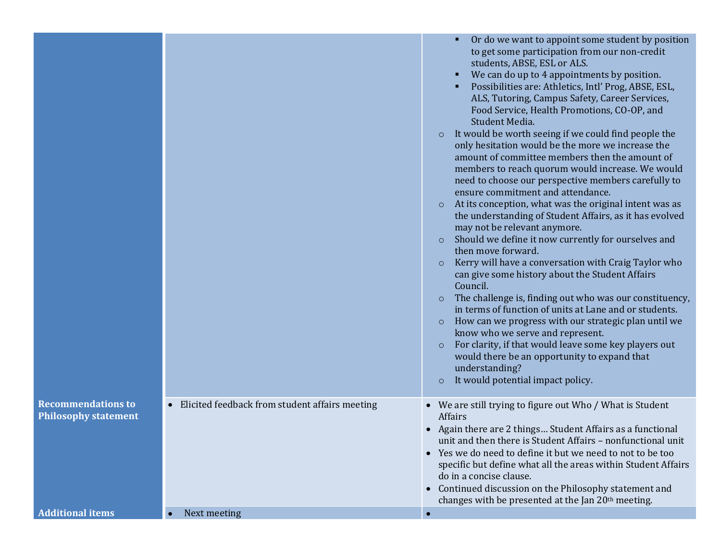|                                                          |                                                  | Or do we want to appoint some student by position<br>to get some participation from our non-credit<br>students, ABSE, ESL or ALS.<br>We can do up to 4 appointments by position.<br>Possibilities are: Athletics, Intl' Prog, ABSE, ESL,<br>ALS, Tutoring, Campus Safety, Career Services,<br>Food Service, Health Promotions, CO-OP, and<br>Student Media.<br>It would be worth seeing if we could find people the<br>$\circ$<br>only hesitation would be the more we increase the<br>amount of committee members then the amount of<br>members to reach quorum would increase. We would<br>need to choose our perspective members carefully to<br>ensure commitment and attendance.<br>At its conception, what was the original intent was as<br>$\circ$<br>the understanding of Student Affairs, as it has evolved<br>may not be relevant anymore.<br>Should we define it now currently for ourselves and<br>$\circ$<br>then move forward.<br>Kerry will have a conversation with Craig Taylor who<br>$\circ$<br>can give some history about the Student Affairs<br>Council.<br>The challenge is, finding out who was our constituency,<br>$\circ$<br>in terms of function of units at Lane and or students.<br>How can we progress with our strategic plan until we<br>$\circ$<br>know who we serve and represent.<br>For clarity, if that would leave some key players out<br>$\circ$<br>would there be an opportunity to expand that<br>understanding?<br>It would potential impact policy.<br>$\circ$ |
|----------------------------------------------------------|--------------------------------------------------|--------------------------------------------------------------------------------------------------------------------------------------------------------------------------------------------------------------------------------------------------------------------------------------------------------------------------------------------------------------------------------------------------------------------------------------------------------------------------------------------------------------------------------------------------------------------------------------------------------------------------------------------------------------------------------------------------------------------------------------------------------------------------------------------------------------------------------------------------------------------------------------------------------------------------------------------------------------------------------------------------------------------------------------------------------------------------------------------------------------------------------------------------------------------------------------------------------------------------------------------------------------------------------------------------------------------------------------------------------------------------------------------------------------------------------------------------------------------------------------------------------------|
| <b>Recommendations to</b><br><b>Philosophy statement</b> | • Elicited feedback from student affairs meeting | • We are still trying to figure out Who / What is Student<br>Affairs<br>• Again there are 2 things Student Affairs as a functional<br>unit and then there is Student Affairs - nonfunctional unit<br>• Yes we do need to define it but we need to not to be too<br>specific but define what all the areas within Student Affairs<br>do in a concise clause.<br>Continued discussion on the Philosophy statement and<br>changes with be presented at the Jan 20 <sup>th</sup> meeting.                                                                                                                                                                                                                                                                                                                                                                                                                                                                                                                                                                                                                                                                                                                                                                                                                                                                                                                                                                                                                        |
| <b>Additional items</b>                                  | Next meeting                                     |                                                                                                                                                                                                                                                                                                                                                                                                                                                                                                                                                                                                                                                                                                                                                                                                                                                                                                                                                                                                                                                                                                                                                                                                                                                                                                                                                                                                                                                                                                              |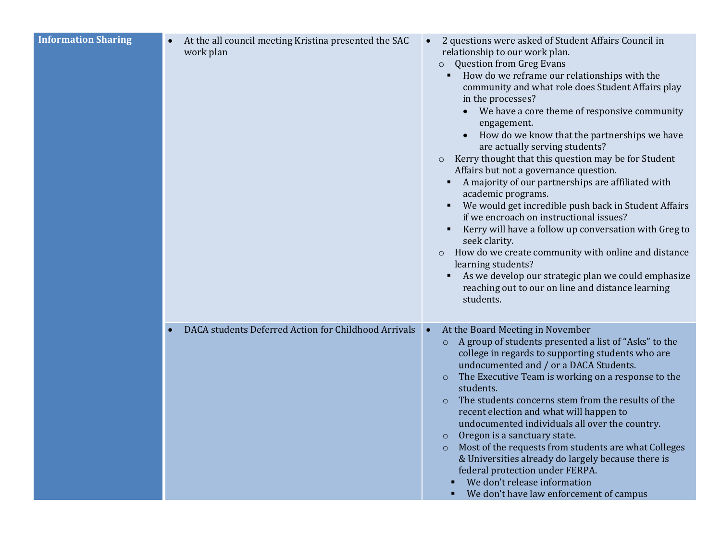| At the all council meeting Kristina presented the SAC<br>work plan | 2 questions were asked of Student Affairs Council in<br>$\bullet$<br>relationship to our work plan.<br><b>Question from Greg Evans</b><br>$\circ$<br>How do we reframe our relationships with the<br>community and what role does Student Affairs play<br>in the processes?<br>We have a core theme of responsive community<br>engagement.<br>How do we know that the partnerships we have<br>are actually serving students?<br>Kerry thought that this question may be for Student<br>$\circ$<br>Affairs but not a governance question.<br>A majority of our partnerships are affiliated with<br>academic programs.<br>We would get incredible push back in Student Affairs<br>if we encroach on instructional issues?<br>Kerry will have a follow up conversation with Greg to<br>seek clarity.<br>How do we create community with online and distance<br>$\circ$<br>learning students?<br>As we develop our strategic plan we could emphasize<br>reaching out to our on line and distance learning<br>students. |
|--------------------------------------------------------------------|--------------------------------------------------------------------------------------------------------------------------------------------------------------------------------------------------------------------------------------------------------------------------------------------------------------------------------------------------------------------------------------------------------------------------------------------------------------------------------------------------------------------------------------------------------------------------------------------------------------------------------------------------------------------------------------------------------------------------------------------------------------------------------------------------------------------------------------------------------------------------------------------------------------------------------------------------------------------------------------------------------------------|
| DACA students Deferred Action for Childhood Arrivals               | At the Board Meeting in November<br>$\bullet$<br>o A group of students presented a list of "Asks" to the<br>college in regards to supporting students who are<br>undocumented and / or a DACA Students.<br>The Executive Team is working on a response to the<br>$\circ$<br>students.<br>The students concerns stem from the results of the<br>$\circ$<br>recent election and what will happen to<br>undocumented individuals all over the country.<br>Oregon is a sanctuary state.<br>$\circ$<br>Most of the requests from students are what Colleges<br>$\circ$<br>& Universities already do largely because there is<br>federal protection under FERPA.<br>We don't release information<br>• We don't have law enforcement of campus                                                                                                                                                                                                                                                                            |